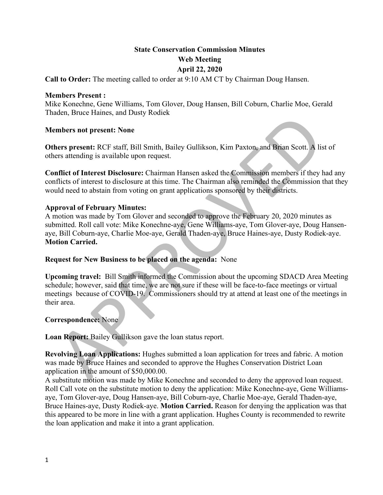# **State Conservation Commission Minutes Web Meeting April 22, 2020**

**Call to Order:** The meeting called to order at 9:10 AM CT by Chairman Doug Hansen.

#### **Members Present :**

Mike Konechne, Gene Williams, Tom Glover, Doug Hansen, Bill Coburn, Charlie Moe, Gerald Thaden, Bruce Haines, and Dusty Rodiek

### **Members not present: None**

**Others present:** RCF staff, Bill Smith, Bailey Gullikson, Kim Paxton, and Brian Scott. A list of others attending is available upon request.

**Conflict of Interest Disclosure:** Chairman Hansen asked the Commission members if they had any conflicts of interest to disclosure at this time. The Chairman also reminded the Commission that they would need to abstain from voting on grant applications sponsored by their districts.

### **Approval of February Minutes:**

mers, proce riannes, and Dassy Nodes<br>
mers present: RCF staff, Bill Smith, Bailey Gullikson, Kim Paxton, and Brian Scott. A list of<br>
rers attending is available upon request.<br>
First attending is available upon request.<br>
Fi A motion was made by Tom Glover and seconded to approve the February 20, 2020 minutes as submitted. Roll call vote: Mike Konechne-aye, Gene Williams-aye, Tom Glover-aye, Doug Hansenaye, Bill Coburn-aye, Charlie Moe-aye, Gerald Thaden-aye, Bruce Haines-aye, Dusty Rodiek-aye. **Motion Carried.**

# **Request for New Business to be placed on the agenda:** None

**Upcoming travel:** Bill Smith informed the Commission about the upcoming SDACD Area Meeting schedule; however, said that time, we are not sure if these will be face-to-face meetings or virtual meetings because of COVID-19. Commissioners should try at attend at least one of the meetings in their area.

# **Correspondence:** None

**Loan Report:** Bailey Gullikson gave the loan status report.

**Revolving Loan Applications:** Hughes submitted a loan application for trees and fabric. A motion was made by Bruce Haines and seconded to approve the Hughes Conservation District Loan application in the amount of \$50,000.00.

A substitute motion was made by Mike Konechne and seconded to deny the approved loan request. Roll Call vote on the substitute motion to deny the application: Mike Konechne-aye, Gene Williamsaye, Tom Glover-aye, Doug Hansen-aye, Bill Coburn-aye, Charlie Moe-aye, Gerald Thaden-aye, Bruce Haines-aye, Dusty Rodiek-aye. **Motion Carried.** Reason for denying the application was that this appeared to be more in line with a grant application. Hughes County is recommended to rewrite the loan application and make it into a grant application.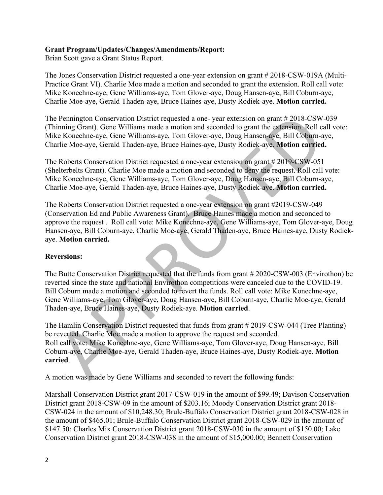### **Grant Program/Updates/Changes/Amendments/Report:**

Brian Scott gave a Grant Status Report.

The Jones Conservation District requested a one-year extension on grant # 2018-CSW-019A (Multi-Practice Grant VI). Charlie Moe made a motion and seconded to grant the extension. Roll call vote: Mike Konechne-aye, Gene Williams-aye, Tom Glover-aye, Doug Hansen-aye, Bill Coburn-aye, Charlie Moe-aye, Gerald Thaden-aye, Bruce Haines-aye, Dusty Rodiek-aye. **Motion carried.**

The Pennington Conservation District requested a one- year extension on grant # 2018-CSW-039 (Thinning Grant). Gene Williams made a motion and seconded to grant the extension. Roll call vote: Mike Konechne-aye, Gene Williams-aye, Tom Glover-aye, Doug Hansen-aye, Bill Coburn-aye, Charlie Moe-aye, Gerald Thaden-aye, Bruce Haines-aye, Dusty Rodiek-aye. **Motion carried.**

The Roberts Conservation District requested a one-year extension on grant # 2019-CSW-051 (Shelterbelts Grant). Charlie Moe made a motion and seconded to deny the request. Roll call vote: Mike Konechne-aye, Gene Williams-aye, Tom Glover-aye, Doug Hansen-aye, Bill Coburn-aye, Charlie Moe-aye, Gerald Thaden-aye, Bruce Haines-aye, Dusty Rodiek-aye. **Motion carried.**

The Roberts Conservation District requested a one-year extension on grant #2019-CSW-049 (Conservation Ed and Public Awareness Grant). Bruce Haines made a motion and seconded to approve the request . Roll call vote: Mike Konechne-aye, Gene Williams-aye, Tom Glover-aye, Doug Hansen-aye, Bill Coburn-aye, Charlie Moe-aye, Gerald Thaden-aye, Bruce Haines-aye, Dusty Rodiekaye. **Motion carried.**

# **Reversions:**

Pennington Conservation District requested a one- year extension on grant # 2018-CSW-039<br>timing Grant). Gene Williams mde a motion and seconded to grant the extension. Roll call vo<br>to Koncelne-aye, Grend Thaden-aye, Bruce The Butte Conservation District requested that the funds from grant # 2020-CSW-003 (Envirothon) be reverted since the state and national Envirothon competitions were canceled due to the COVID-19. Bill Coburn made a motion and seconded to revert the funds. Roll call vote: Mike Konechne-aye, Gene Williams-aye, Tom Glover-aye, Doug Hansen-aye, Bill Coburn-aye, Charlie Moe-aye, Gerald Thaden-aye, Bruce Haines-aye, Dusty Rodiek-aye. **Motion carried**.

The Hamlin Conservation District requested that funds from grant # 2019-CSW-044 (Tree Planting) be reverted. Charlie Moe made a motion to approve the request and seconded. Roll call vote: Mike Konechne-aye, Gene Williams-aye, Tom Glover-aye, Doug Hansen-aye, Bill Coburn-aye, Charlie Moe-aye, Gerald Thaden-aye, Bruce Haines-aye, Dusty Rodiek-aye. **Motion carried**.

A motion was made by Gene Williams and seconded to revert the following funds:

Marshall Conservation District grant 2017-CSW-019 in the amount of \$99.49; Davison Conservation District grant 2018-CSW-09 in the amount of \$203.16; Moody Conservation District grant 2018- CSW-024 in the amount of \$10,248.30; Brule-Buffalo Conservation District grant 2018-CSW-028 in the amount of \$465.01; Brule-Buffalo Conservation District grant 2018-CSW-029 in the amount of \$147.50; Charles Mix Conservation District grant 2018-CSW-030 in the amount of \$150.00; Lake Conservation District grant 2018-CSW-038 in the amount of \$15,000.00; Bennett Conservation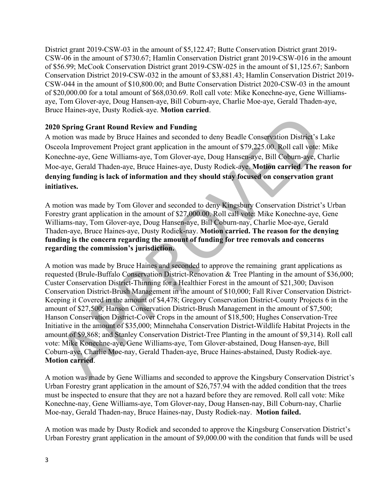District grant 2019-CSW-03 in the amount of \$5,122.47; Butte Conservation District grant 2019- CSW-06 in the amount of \$730.67; Hamlin Conservation District grant 2019-CSW-016 in the amount of \$56.99; McCook Conservation District grant 2019-CSW-025 in the amount of \$1,125.67; Sanborn Conservation District 2019-CSW-032 in the amount of \$3,881.43; Hamlin Conservation District 2019- CSW-044 in the amount of \$10,800.00; and Butte Conservation District 2020-CSW-03 in the amount of \$20,000.00 for a total amount of \$68,030.69. Roll call vote: Mike Konechne-aye, Gene Williamsaye, Tom Glover-aye, Doug Hansen-aye, Bill Coburn-aye, Charlie Moe-aye, Gerald Thaden-aye, Bruce Haines-aye, Dusty Rodiek-aye. **Motion carried**.

# **2020 Spring Grant Round Review and Funding**

A motion was made by Bruce Haines and seconded to deny Beadle Conservation District's Lake Osceola Improvement Project grant application in the amount of \$79,225.00. Roll call vote: Mike Konechne-aye, Gene Williams-aye, Tom Glover-aye, Doug Hansen-aye, Bill Coburn-aye, Charlie Moe-aye, Gerald Thaden-aye, Bruce Haines-aye, Dusty Rodiek-aye. **Motion carried**. **The reason for denying funding is lack of information and they should stay focused on conservation grant initiatives.** 

A motion was made by Tom Glover and seconded to deny Kingsbury Conservation District's Urban Forestry grant application in the amount of \$27,000.00. Roll call vote: Mike Konechne-aye, Gene Williams-nay, Tom Glover-aye, Doug Hansen-aye, Bill Coburn-nay, Charlie Moe-aye, Gerald Thaden-aye, Bruce Haines-aye, Dusty Rodiek-nay. **Motion carried. The reason for the denying funding is the concern regarding the amount of funding for tree removals and concerns regarding the commission's jurisdiction.** 

0 Spring Grant Round Review and Funding<br>notion was made by Bruce Haines and seconded to deny Beadle Conservation District's Lake<br>cocla Improvement Project grant application in the amount of \$79.225.00. Roll call vote: Mik A motion was made by Bruce Haines and seconded to approve the remaining grant applications as requested (Brule-Buffalo Conservation District-Renovation & Tree Planting in the amount of \$36,000; Custer Conservation District-Thinning for a Healthier Forest in the amount of \$21,300; Davison Conservation District-Brush Management in the amount of \$10,000; Fall River Conservation District-Keeping it Covered in the amount of \$4,478; Gregory Conservation District-County Projects 6 in the amount of \$27,500; Hanson Conservation District-Brush Management in the amount of \$7,500; Hanson Conservation District-Cover Crops in the amount of \$18,500; Hughes Conservation-Tree Initiative in the amount of \$35,000; Minnehaha Conservation District-Wildlife Habitat Projects in the amount of \$9,868; and Stanley Conservation District-Tree Planting in the amount of \$9,314). Roll call vote: Mike Konechne-aye, Gene Williams-aye, Tom Glover-abstained, Doug Hansen-aye, Bill Coburn-aye, Charlie Moe-nay, Gerald Thaden-aye, Bruce Haines-abstained, Dusty Rodiek-aye. **Motion carried**.

A motion was made by Gene Williams and seconded to approve the Kingsbury Conservation District's Urban Forestry grant application in the amount of \$26,757.94 with the added condition that the trees must be inspected to ensure that they are not a hazard before they are removed. Roll call vote: Mike Konechne-nay, Gene Williams-aye, Tom Glover-nay, Doug Hansen-nay, Bill Coburn-nay, Charlie Moe-nay, Gerald Thaden-nay, Bruce Haines-nay, Dusty Rodiek-nay. **Motion failed.**

A motion was made by Dusty Rodiek and seconded to approve the Kingsburg Conservation District's Urban Forestry grant application in the amount of \$9,000.00 with the condition that funds will be used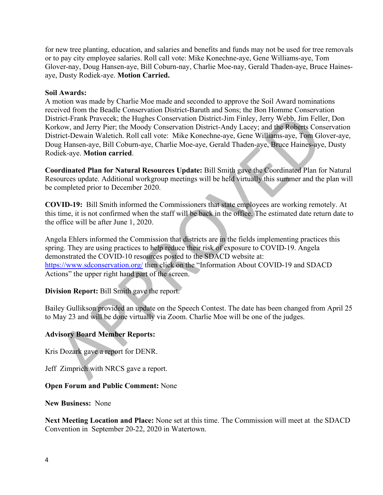for new tree planting, education, and salaries and benefits and funds may not be used for tree removals or to pay city employee salaries. Roll call vote: Mike Konechne-aye, Gene Williams-aye, Tom Glover-nay, Doug Hansen-aye, Bill Coburn-nay, Charlie Moe-nay, Gerald Thaden-aye, Bruce Hainesaye, Dusty Rodiek-aye. **Motion Carried.**

#### **Soil Awards:**

triet-Frank [P](https://www.sdconservation.org/)raveclet; the Hughes Conservation District-Jim Finley, Jerry Webb, Jim Feller, Dr. Wow, and Jerry Webb, 2020; Associated District-Andy Lacey: and the Robarts. Conservation Conservation District-Andy Lacey: and A motion was made by Charlie Moe made and seconded to approve the Soil Award nominations received from the Beadle Conservation District-Baruth and Sons; the Bon Homme Conservation District-Frank Pravecek; the Hughes Conservation District-Jim Finley, Jerry Webb, Jim Feller, Don Korkow, and Jerry Pier; the Moody Conservation District-Andy Lacey; and the Roberts Conservation District-Dewain Waletich. Roll call vote: Mike Konechne-aye, Gene Williams-aye, Tom Glover-aye, Doug Hansen-aye, Bill Coburn-aye, Charlie Moe-aye, Gerald Thaden-aye, Bruce Haines-aye, Dusty Rodiek-aye. **Motion carried**.

**Coordinated Plan for Natural Resources Update:** Bill Smith gave the Coordinated Plan for Natural Resources update. Additional workgroup meetings will be held virtually this summer and the plan will be completed prior to December 2020.

**COVID-19:** Bill Smith informed the Commissioners that state employees are working remotely. At this time, it is not confirmed when the staff will be back in the office. The estimated date return date to the office will be after June 1, 2020.

Angela Ehlers informed the Commission that districts are in the fields implementing practices this spring. They are using practices to help reduce their risk of exposure to COVID-19. Angela demonstrated the COVID-10 resources posted to the SDACD website at: https://www.sdconservation.org/ then click on the "Information About COVID-19 and SDACD Actions" the upper right hand part of the screen.

# **Division Report:** Bill Smith gave the report.

Bailey Gullikson provided an update on the Speech Contest. The date has been changed from April 25 to May 23 and will be done virtually via Zoom. Charlie Moe will be one of the judges.

#### **Advisory Board Member Reports:**

Kris Dozark gave a report for DENR.

Jeff Zimprich with NRCS gave a report.

#### **Open Forum and Public Comment:** None

#### **New Business:** None

**Next Meeting Location and Place:** None set at this time. The Commission will meet at the SDACD Convention in September 20-22, 2020 in Watertown.